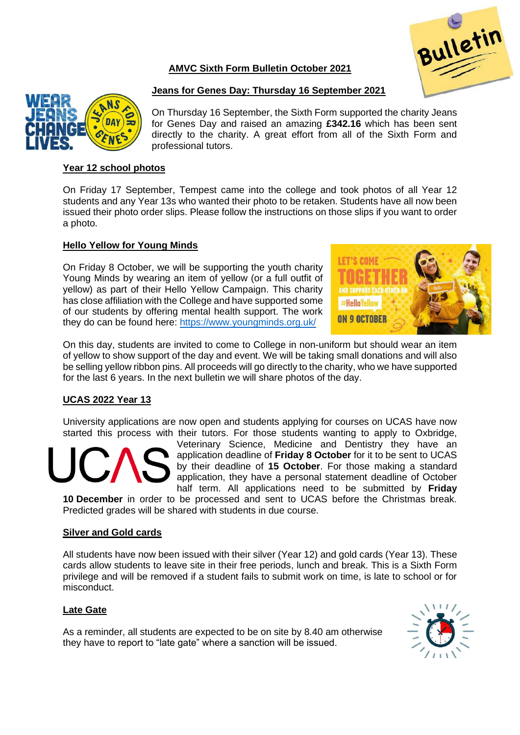# **AMVC Sixth Form Bulletin October 2021**





# **Jeans for Genes Day: Thursday 16 September 2021**

On Thursday 16 September, the Sixth Form supported the charity Jeans for Genes Day and raised an amazing **£342.16** which has been sent directly to the charity. A great effort from all of the Sixth Form and professional tutors.

## **Year 12 school photos**

On Friday 17 September, Tempest came into the college and took photos of all Year 12 students and any Year 13s who wanted their photo to be retaken. Students have all now been issued their photo order slips. Please follow the instructions on those slips if you want to order a photo.

## **Hello Yellow for Young Minds**

On Friday 8 October, we will be supporting the youth charity Young Minds by wearing an item of yellow (or a full outfit of yellow) as part of their Hello Yellow Campaign. This charity has close affiliation with the College and have supported some of our students by offering mental health support. The work they do can be found here:<https://www.youngminds.org.uk/>



On this day, students are invited to come to College in non-uniform but should wear an item of yellow to show support of the day and event. We will be taking small donations and will also be selling yellow ribbon pins. All proceeds will go directly to the charity, who we have supported for the last 6 years. In the next bulletin we will share photos of the day.

# **UCAS 2022 Year 13**

University applications are now open and students applying for courses on UCAS have now started this process with their tutors. For those students wanting to apply to Oxbridge,

Veterinary Science, Medicine and Dentistry they have an application deadline of **Friday 8 October** for it to be sent to UCAS by their deadline of **15 October**. For those making a standard application, they have a personal statement deadline of October half term. All applications need to be submitted by **Friday** 

**10 December** in order to be processed and sent to UCAS before the Christmas break. Predicted grades will be shared with students in due course.

#### **Silver and Gold cards**

All students have now been issued with their silver (Year 12) and gold cards (Year 13). These cards allow students to leave site in their free periods, lunch and break. This is a Sixth Form privilege and will be removed if a student fails to submit work on time, is late to school or for misconduct.

#### **Late Gate**

As a reminder, all students are expected to be on site by 8.40 am otherwise they have to report to "late gate" where a sanction will be issued.

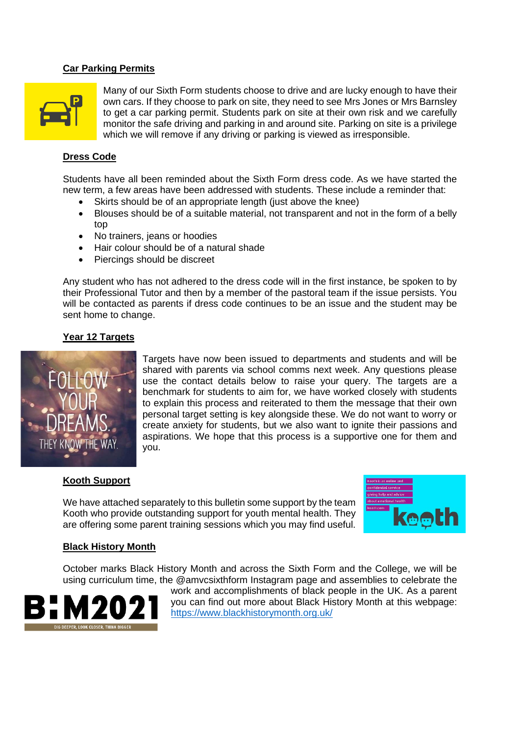#### **Car Parking Permits**



Many of our Sixth Form students choose to drive and are lucky enough to have their own cars. If they choose to park on site, they need to see Mrs Jones or Mrs Barnsley to get a car parking permit. Students park on site at their own risk and we carefully monitor the safe driving and parking in and around site. Parking on site is a privilege which we will remove if any driving or parking is viewed as irresponsible.

#### **Dress Code**

Students have all been reminded about the Sixth Form dress code. As we have started the new term, a few areas have been addressed with students. These include a reminder that:

- Skirts should be of an appropriate length (just above the knee)
- Blouses should be of a suitable material, not transparent and not in the form of a belly top
- No trainers, jeans or hoodies
- Hair colour should be of a natural shade
- Piercings should be discreet

Any student who has not adhered to the dress code will in the first instance, be spoken to by their Professional Tutor and then by a member of the pastoral team if the issue persists. You will be contacted as parents if dress code continues to be an issue and the student may be sent home to change.

### **Year 12 Targets**



Targets have now been issued to departments and students and will be shared with parents via school comms next week. Any questions please use the contact details below to raise your query. The targets are a benchmark for students to aim for, we have worked closely with students to explain this process and reiterated to them the message that their own personal target setting is key alongside these. We do not want to worry or create anxiety for students, but we also want to ignite their passions and aspirations. We hope that this process is a supportive one for them and you.

#### **Kooth Support**

We have attached separately to this bulletin some support by the team Kooth who provide outstanding support for youth mental health. They are offering some parent training sessions which you may find useful.



#### **Black History Month**

October marks Black History Month and across the Sixth Form and the College, we will be using curriculum time, the @amvcsixthform Instagram page and assemblies to celebrate the



work and accomplishments of black people in the UK. As a parent you can find out more about Black History Month at this webpage: <https://www.blackhistorymonth.org.uk/>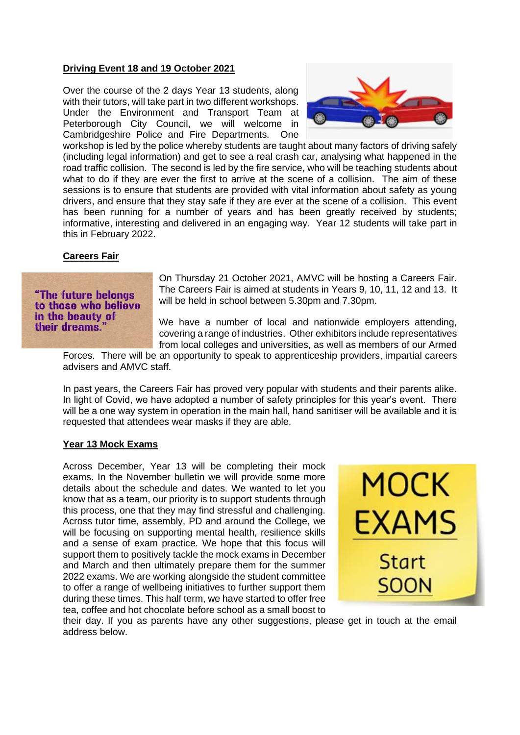## **Driving Event 18 and 19 October 2021**

Over the course of the 2 days Year 13 students, along with their tutors, will take part in two different workshops. Under the Environment and Transport Team at Peterborough City Council, we will welcome in Cambridgeshire Police and Fire Departments. One



workshop is led by the police whereby students are taught about many factors of driving safely (including legal information) and get to see a real crash car, analysing what happened in the road traffic collision. The second is led by the fire service, who will be teaching students about what to do if they are ever the first to arrive at the scene of a collision. The aim of these sessions is to ensure that students are provided with vital information about safety as young drivers, and ensure that they stay safe if they are ever at the scene of a collision. This event has been running for a number of years and has been greatly received by students; informative, interesting and delivered in an engaging way. Year 12 students will take part in this in February 2022.

## **Careers Fair**

# "The future belongs to those who believe in the beauty of their dreams.

On Thursday 21 October 2021, AMVC will be hosting a Careers Fair. The Careers Fair is aimed at students in Years 9, 10, 11, 12 and 13. It will be held in school between 5.30pm and 7.30pm.

We have a number of local and nationwide employers attending, covering a range of industries. Other exhibitors include representatives from local colleges and universities, as well as members of our Armed

Forces. There will be an opportunity to speak to apprenticeship providers, impartial careers advisers and AMVC staff.

In past years, the Careers Fair has proved very popular with students and their parents alike. In light of Covid, we have adopted a number of safety principles for this year's event. There will be a one way system in operation in the main hall, hand sanitiser will be available and it is requested that attendees wear masks if they are able.

### **Year 13 Mock Exams**

Across December, Year 13 will be completing their mock exams. In the November bulletin we will provide some more details about the schedule and dates. We wanted to let you know that as a team, our priority is to support students through this process, one that they may find stressful and challenging. Across tutor time, assembly, PD and around the College, we will be focusing on supporting mental health, resilience skills and a sense of exam practice. We hope that this focus will support them to positively tackle the mock exams in December and March and then ultimately prepare them for the summer 2022 exams. We are working alongside the student committee to offer a range of wellbeing initiatives to further support them during these times. This half term, we have started to offer free tea, coffee and hot chocolate before school as a small boost to



their day. If you as parents have any other suggestions, please get in touch at the email address below.